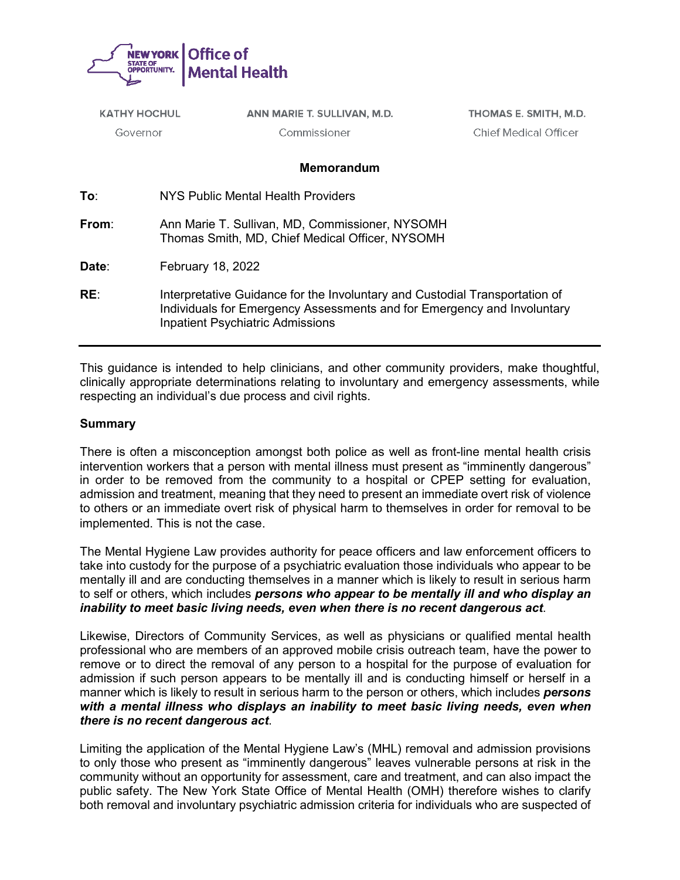

| <b>KATHY HOCHUL</b> |                                                                                                    | ANN MARIE T. SULLIVAN, M.D.             | THOMAS E. SMITH, M.D.                                                                                                                                  |
|---------------------|----------------------------------------------------------------------------------------------------|-----------------------------------------|--------------------------------------------------------------------------------------------------------------------------------------------------------|
| Governor            |                                                                                                    | Commissioner                            | <b>Chief Medical Officer</b>                                                                                                                           |
|                     |                                                                                                    | <b>Memorandum</b>                       |                                                                                                                                                        |
| To:                 | NYS Public Mental Health Providers                                                                 |                                         |                                                                                                                                                        |
| From:               | Ann Marie T. Sullivan, MD, Commissioner, NYSOMH<br>Thomas Smith, MD, Chief Medical Officer, NYSOMH |                                         |                                                                                                                                                        |
| Date:               | <b>February 18, 2022</b>                                                                           |                                         |                                                                                                                                                        |
| RE:                 |                                                                                                    | <b>Inpatient Psychiatric Admissions</b> | Interpretative Guidance for the Involuntary and Custodial Transportation of<br>Individuals for Emergency Assessments and for Emergency and Involuntary |

This guidance is intended to help clinicians, and other community providers, make thoughtful, clinically appropriate determinations relating to involuntary and emergency assessments, while respecting an individual's due process and civil rights.

#### **Summary**

There is often a misconception amongst both police as well as front-line mental health crisis intervention workers that a person with mental illness must present as "imminently dangerous" in order to be removed from the community to a hospital or CPEP setting for evaluation, admission and treatment, meaning that they need to present an immediate overt risk of violence to others or an immediate overt risk of physical harm to themselves in order for removal to be implemented. This is not the case.

The Mental Hygiene Law provides authority for peace officers and law enforcement officers to take into custody for the purpose of a psychiatric evaluation those individuals who appear to be mentally ill and are conducting themselves in a manner which is likely to result in serious harm to self or others, which includes *persons who appear to be mentally ill and who display an inability to meet basic living needs, even when there is no recent dangerous act*.

Likewise, Directors of Community Services, as well as physicians or qualified mental health professional who are members of an approved mobile crisis outreach team, have the power to remove or to direct the removal of any person to a hospital for the purpose of evaluation for admission if such person appears to be mentally ill and is conducting himself or herself in a manner which is likely to result in serious harm to the person or others, which includes *persons with a mental illness who displays an inability to meet basic living needs, even when there is no recent dangerous act*.

Limiting the application of the Mental Hygiene Law's (MHL) removal and admission provisions to only those who present as "imminently dangerous" leaves vulnerable persons at risk in the community without an opportunity for assessment, care and treatment, and can also impact the public safety. The New York State Office of Mental Health (OMH) therefore wishes to clarify both removal and involuntary psychiatric admission criteria for individuals who are suspected of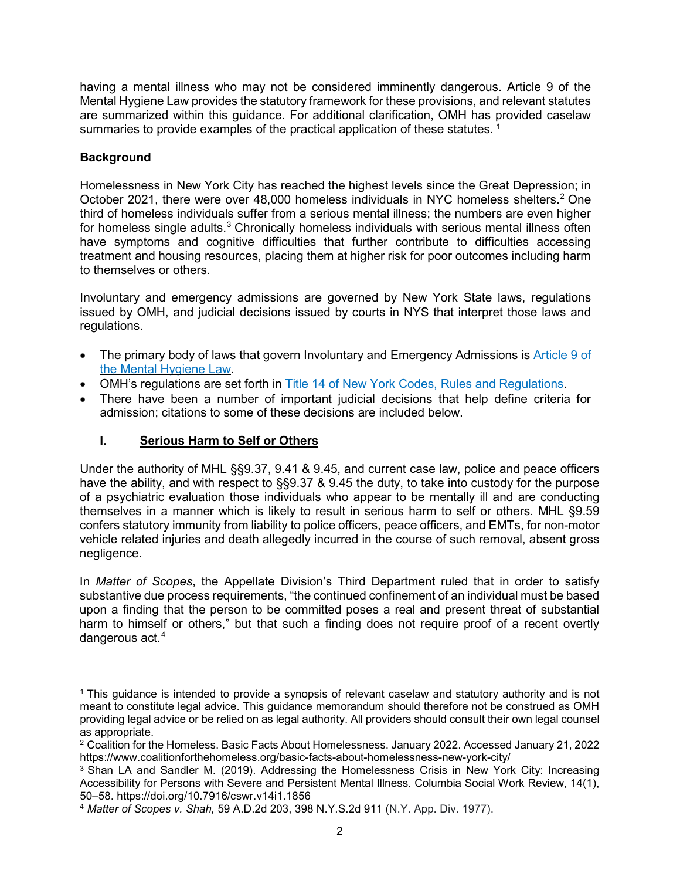having a mental illness who may not be considered imminently dangerous. Article 9 of the Mental Hygiene Law provides the statutory framework for these provisions, and relevant statutes are summarized within this guidance. For additional clarification, OMH has provided caselaw summaries to provide examples of the practical application of these statutes.<sup>[1](#page-1-0)</sup>

### **Background**

 $\overline{a}$ 

Homelessness in New York City has reached the highest levels since the Great Depression; in October [2](#page-1-1)021, there were over 48,000 homeless individuals in NYC homeless shelters.<sup>2</sup> One third of homeless individuals suffer from a serious mental illness; the numbers are even higher for homeless single adults.<sup>[3](#page-1-2)</sup> Chronically homeless individuals with serious mental illness often have symptoms and cognitive difficulties that further contribute to difficulties accessing treatment and housing resources, placing them at higher risk for poor outcomes including harm to themselves or others.

Involuntary and emergency admissions are governed by New York State laws, regulations issued by OMH, and judicial decisions issued by courts in NYS that interpret those laws and regulations.

- The primary body of laws that govern Involuntary and Emergency Admissions is [Article](https://www.nysenate.gov/legislation/laws/MHY/TBA9) 9 of the Mental [Hygiene](https://www.nysenate.gov/legislation/laws/MHY/TBA9) Law.
- OMH's regulations are set forth in Title 14 of New York Codes, Rules and [Regulations.](https://govt.westlaw.com/nycrr/Browse/Home/NewYork/NewYorkCodesRulesandRegulations?guid=I51da81c0ac3d11dd9f72c1eb90efe723&originationContext=documenttoc&transitionType=Default&contextData=(sc.Default))
- There have been a number of important judicial decisions that help define criteria for admission; citations to some of these decisions are included below.

### **I. Serious Harm to Self or Others**

Under the authority of MHL §§9.37, 9.41 & 9.45, and current case law, police and peace officers have the ability, and with respect to §§9.37 & 9.45 the duty, to take into custody for the purpose of a psychiatric evaluation those individuals who appear to be mentally ill and are conducting themselves in a manner which is likely to result in serious harm to self or others. MHL §9.59 confers statutory immunity from liability to police officers, peace officers, and EMTs, for non-motor vehicle related injuries and death allegedly incurred in the course of such removal, absent gross negligence.

In *Matter of Scopes*, the Appellate Division's Third Department ruled that in order to satisfy substantive due process requirements, "the continued confinement of an individual must be based upon a finding that the person to be committed poses a real and present threat of substantial harm to himself or others," but that such a finding does not require proof of a recent overtly dangerous act.<sup>[4](#page-1-3)</sup>

<span id="page-1-0"></span><sup>1</sup> This guidance is intended to provide a synopsis of relevant caselaw and statutory authority and is not meant to constitute legal advice. This guidance memorandum should therefore not be construed as OMH providing legal advice or be relied on as legal authority. All providers should consult their own legal counsel

<span id="page-1-1"></span> $2$  Coalition for the Homeless. Basic Facts About Homelessness. January 2022. Accessed January 21, 2022 https://www.coalitionforthehomeless.org/basic-facts-about-homelessness-new-york-city/

<span id="page-1-2"></span><sup>&</sup>lt;sup>3</sup> Shan LA and Sandler M. (2019). Addressing the Homelessness Crisis in New York City: Increasing Accessibility for Persons with Severe and Persistent Mental Illness. Columbia Social Work Review, 14(1), 50–58. https://doi.org/10.7916/cswr.v14i1.1856

<span id="page-1-3"></span><sup>4</sup> *Matter of Scopes v. Shah,* 59 A.D.2d 203, 398 N.Y.S.2d 911 (N.Y. App. Div. 1977).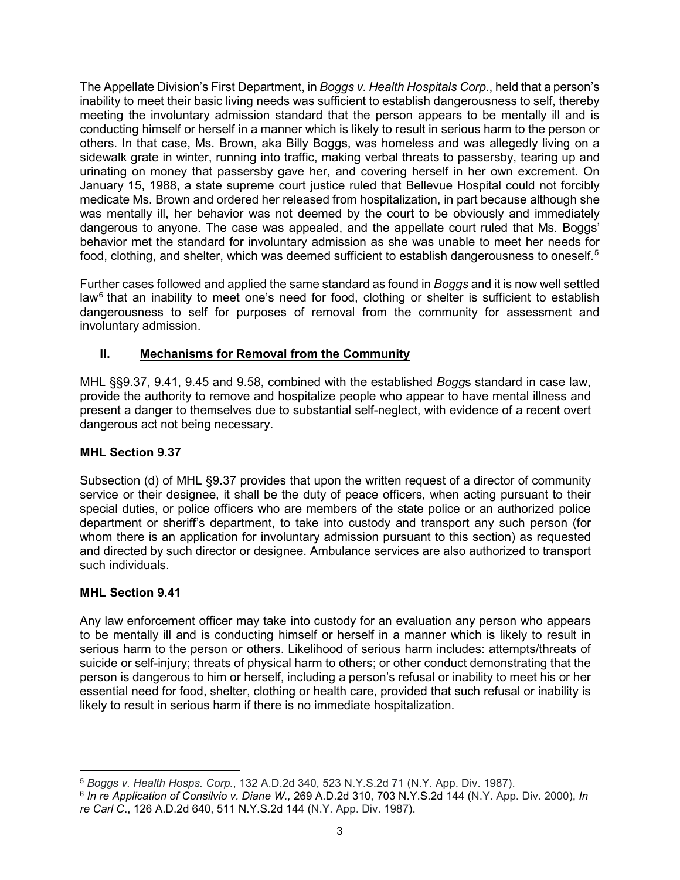The Appellate Division's First Department, in *Boggs v. Health Hospitals Corp.*, held that a person's inability to meet their basic living needs was sufficient to establish dangerousness to self, thereby meeting the involuntary admission standard that the person appears to be mentally ill and is conducting himself or herself in a manner which is likely to result in serious harm to the person or others. In that case, Ms. Brown, aka Billy Boggs, was homeless and was allegedly living on a sidewalk grate in winter, running into traffic, making verbal threats to passersby, tearing up and urinating on money that passersby gave her, and covering herself in her own excrement. On January 15, 1988, a state supreme court justice ruled that Bellevue Hospital could not forcibly medicate Ms. Brown and ordered her released from hospitalization, in part because although she was mentally ill, her behavior was not deemed by the court to be obviously and immediately dangerous to anyone. The case was appealed, and the appellate court ruled that Ms. Boggs' behavior met the standard for involuntary admission as she was unable to meet her needs for food, clothing, and shelter, which was deemed sufficient to establish dangerousness to oneself.<sup>[5](#page-2-0)</sup>

Further cases followed and applied the same standard as found in *Boggs* and it is now well settled  $\text{law}^6$  $\text{law}^6$  that an inability to meet one's need for food, clothing or shelter is sufficient to establish dangerousness to self for purposes of removal from the community for assessment and involuntary admission.

# <span id="page-2-2"></span>**II. Mechanisms for Removal from the Community**

MHL §§9.37, 9.41, 9.45 and 9.58, combined with the established *Bogg*s standard in case law, provide the authority to remove and hospitalize people who appear to have mental illness and present a danger to themselves due to substantial self-neglect, with evidence of a recent overt dangerous act not being necessary.

# **MHL Section 9.37**

Subsection (d) of MHL §9.37 provides that upon the written request of a director of community service or their designee, it shall be the duty of peace officers, when acting pursuant to their special duties, or police officers who are members of the state police or an authorized police department or sheriff's department, to take into custody and transport any such person (for whom there is an application for involuntary admission pursuant to this section) as requested and directed by such director or designee. Ambulance services are also authorized to transport such individuals.

# **MHL Section 9.41**

Any law enforcement officer may take into custody for an evaluation any person who appears to be mentally ill and is conducting himself or herself in a manner which is likely to result in serious harm to the person or others. Likelihood of serious harm includes: attempts/threats of suicide or self-injury; threats of physical harm to others; or other conduct demonstrating that the person is dangerous to him or herself, including a person's refusal or inability to meet his or her essential need for food, shelter, clothing or health care, provided that such refusal or inability is likely to result in serious harm if there is no immediate hospitalization.

<span id="page-2-0"></span> $\overline{a}$ <sup>5</sup> *Boggs v. Health Hosps. Corp.*, 132 A.D.2d 340, 523 N.Y.S.2d 71 (N.Y. App. Div. 1987).

<span id="page-2-1"></span><sup>6</sup> *In re Application of Consilvio v. Diane W.,* 269 A.D.2d 310, 703 N.Y.S.2d 144 (N.Y. App. Div. 2000), *In re Carl C*., 126 A.D.2d 640, 511 N.Y.S.2d 144 (N.Y. App. Div. 1987).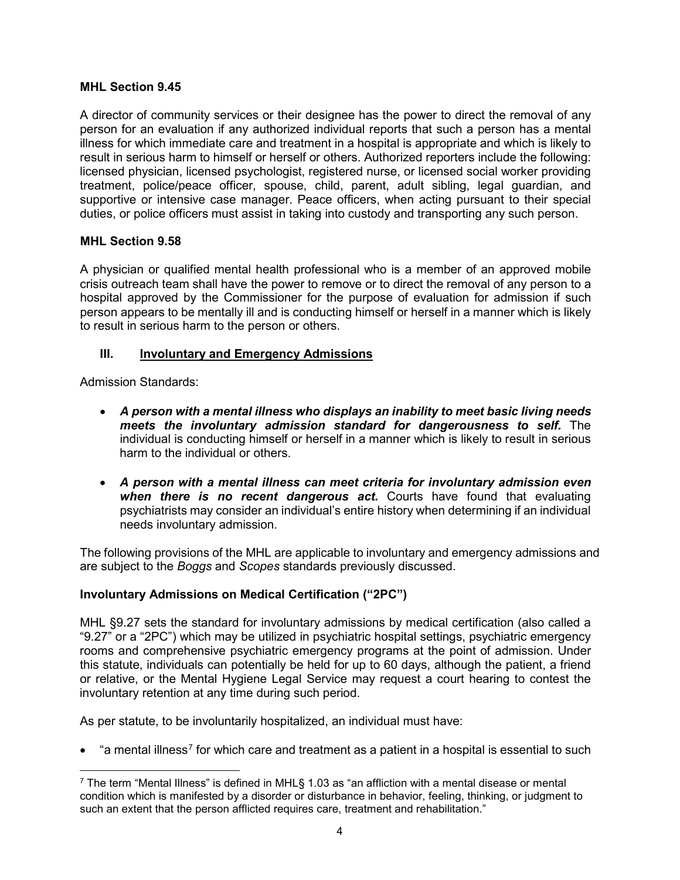#### **MHL Section 9.45**

A director of community services or their designee has the power to direct the removal of any person for an evaluation if any authorized individual reports that such a person has a mental illness for which immediate care and treatment in a hospital is appropriate and which is likely to result in serious harm to himself or herself or others. Authorized reporters include the following: licensed physician, licensed psychologist, registered nurse, or licensed social worker providing treatment, police/peace officer, spouse, child, parent, adult sibling, legal guardian, and supportive or intensive case manager. Peace officers, when acting pursuant to their special duties, or police officers must assist in taking into custody and transporting any such person.

### **MHL Section 9.58**

A physician or qualified mental health professional who is a member of an approved mobile crisis outreach team shall have the power to remove or to direct the removal of any person to a hospital approved by the Commissioner for the purpose of evaluation for admission if such person appears to be mentally ill and is conducting himself or herself in a manner which is likely to result in serious harm to the person or others.

#### **III. Involuntary and Emergency Admissions**

Admission Standards:

- *A person with a mental illness who displays an inability to meet basic living needs meets the involuntary admission standard for dangerousness to self.* The individual is conducting himself or herself in a manner which is likely to result in serious harm to the individual or others.
- *A person with a mental illness can meet criteria for involuntary admission even when there is no recent dangerous act.* Courts have found that evaluating psychiatrists may consider an individual's entire history when determining if an individual needs involuntary admission.

The following provisions of the MHL are applicable to involuntary and emergency admissions and are subject to the *Boggs* and *Scopes* standards previously discussed.

### **Involuntary Admissions on Medical Certification ("2PC")**

MHL §9.27 sets the standard for involuntary admissions by medical certification (also called a "9.27" or a "2PC") which may be utilized in psychiatric hospital settings, psychiatric emergency rooms and comprehensive psychiatric emergency programs at the point of admission. Under this statute, individuals can potentially be held for up to 60 days, although the patient, a friend or relative, or the Mental Hygiene Legal Service may request a court hearing to contest the involuntary retention at any time during such period.

As per statute, to be involuntarily hospitalized, an individual must have:

"a mental illness<sup>[7](#page-3-0)</sup> for which care and treatment as a patient in a hospital is essential to such

<span id="page-3-0"></span> $\overline{a}$ <sup>7</sup> The term "Mental Illness" is defined in MHL§ 1.03 as "an affliction with a mental disease or mental condition which is manifested by a disorder or disturbance in behavior, feeling, thinking, or judgment to such an extent that the person afflicted requires care, treatment and rehabilitation."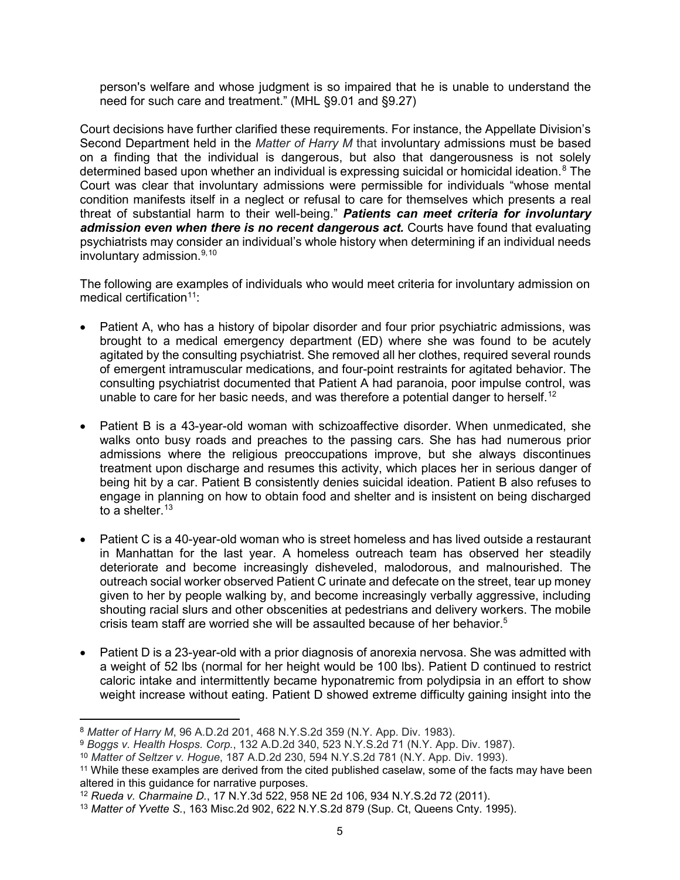person's welfare and whose judgment is so impaired that he is unable to understand the need for such care and treatment." (MHL §9.01 and §9.27)

Court decisions have further clarified these requirements. For instance, the Appellate Division's Second Department held in the *Matter of Harry M* that involuntary admissions must be based on a finding that the individual is dangerous, but also that dangerousness is not solely determined based upon whether an individual is expressing suicidal or homicidal ideation. [8](#page-4-0) The Court was clear that involuntary admissions were permissible for individuals "whose mental condition manifests itself in a neglect or refusal to care for themselves which presents a real threat of substantial harm to their well-being." *Patients can meet criteria for involuntary admission even when there is no recent dangerous act.* Courts have found that evaluating psychiatrists may consider an individual's whole history when determining if an individual needs involuntary admission. [9](#page-4-1),[10](#page-4-2)

The following are examples of individuals who would meet criteria for involuntary admission on medical certification<sup>11</sup>:

- Patient A, who has a history of bipolar disorder and four prior psychiatric admissions, was brought to a medical emergency department (ED) where she was found to be acutely agitated by the consulting psychiatrist. She removed all her clothes, required several rounds of emergent intramuscular medications, and four-point restraints for agitated behavior. The consulting psychiatrist documented that Patient A had paranoia, poor impulse control, was unable to care for her basic needs, and was therefore a potential danger to herself.<sup>[12](#page-4-4)</sup>
- Patient B is a 43-year-old woman with schizoaffective disorder. When unmedicated, she walks onto busy roads and preaches to the passing cars. She has had numerous prior admissions where the religious preoccupations improve, but she always discontinues treatment upon discharge and resumes this activity, which places her in serious danger of being hit by a car. Patient B consistently denies suicidal ideation. Patient B also refuses to engage in planning on how to obtain food and shelter and is insistent on being discharged to a shelter. [13](#page-4-5)
- Patient C is a 40-year-old woman who is street homeless and has lived outside a restaurant in Manhattan for the last year. A homeless outreach team has observed her steadily deteriorate and become increasingly disheveled, malodorous, and malnourished. The outreach social worker observed Patient C urinate and defecate on the street, tear up money given to her by people walking by, and become increasingly verbally aggressive, including shouting racial slurs and other obscenities at pedestrians and delivery workers. The mobile crisis team staff are worried she will be assaulted because of her behavior.<sup>5</sup>
- Patient D is a 23-year-old with a prior diagnosis of anorexia nervosa. She was admitted with a weight of 52 lbs (normal for her height would be 100 lbs). Patient D continued to restrict caloric intake and intermittently became hyponatremic from polydipsia in an effort to show weight increase without eating. Patient D showed extreme difficulty gaining insight into the

 $\overline{a}$ <sup>8</sup> *Matter of Harry M*, 96 A.D.2d 201, 468 N.Y.S.2d 359 (N.Y. App. Div. 1983).

<span id="page-4-1"></span><span id="page-4-0"></span><sup>9</sup> *Boggs v. Health Hosps. Corp.*, 132 A.D.2d 340, 523 N.Y.S.2d 71 (N.Y. App. Div. 1987).

<sup>10</sup> *Matter of Seltzer v. Hogue*, 187 A.D.2d 230, 594 N.Y.S.2d 781 (N.Y. App. Div. 1993).

<span id="page-4-3"></span><span id="page-4-2"></span><sup>&</sup>lt;sup>11</sup> While these examples are derived from the cited published caselaw, some of the facts may have been altered in this guidance for narrative purposes.

<span id="page-4-4"></span><sup>12</sup> *Rueda v. Charmaine D.*, 17 N.Y.3d 522, 958 NE 2d 106, 934 N.Y.S.2d 72 (2011).

<span id="page-4-5"></span><sup>13</sup> *Matter of Yvette S.*, 163 Misc.2d 902, 622 N.Y.S.2d 879 (Sup. Ct, Queens Cnty. 1995).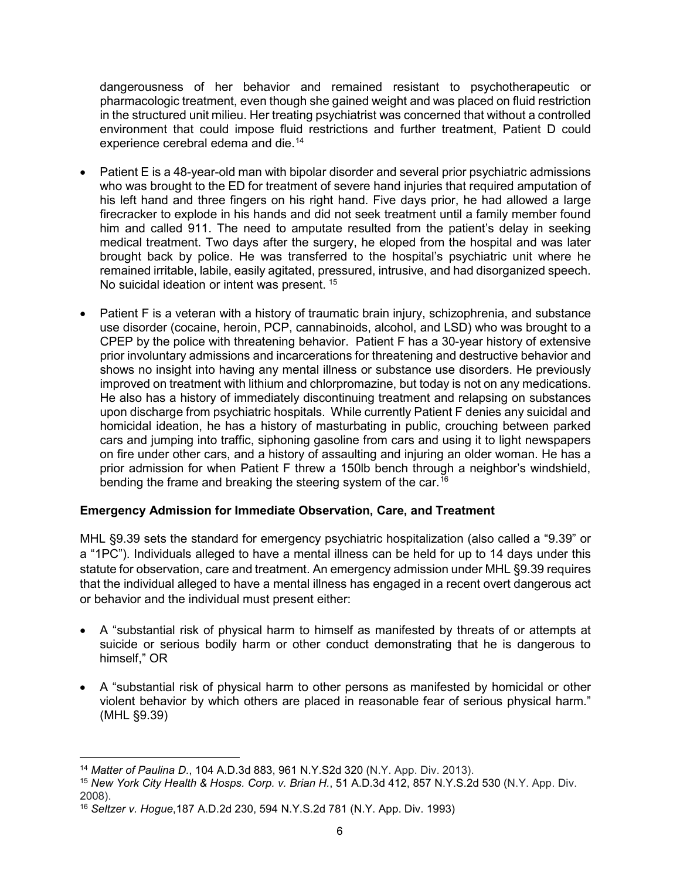dangerousness of her behavior and remained resistant to psychotherapeutic or pharmacologic treatment, even though she gained weight and was placed on fluid restriction in the structured unit milieu. Her treating psychiatrist was concerned that without a controlled environment that could impose fluid restrictions and further treatment, Patient D could experience cerebral edema and die.<sup>[14](#page-5-0)</sup>

- Patient E is a 48-year-old man with bipolar disorder and several prior psychiatric admissions who was brought to the ED for treatment of severe hand injuries that required amputation of his left hand and three fingers on his right hand. Five days prior, he had allowed a large firecracker to explode in his hands and did not seek treatment until a family member found him and called 911. The need to amputate resulted from the patient's delay in seeking medical treatment. Two days after the surgery, he eloped from the hospital and was later brought back by police. He was transferred to the hospital's psychiatric unit where he remained irritable, labile, easily agitated, pressured, intrusive, and had disorganized speech. No suicidal ideation or intent was present. [15](#page-5-1)
- Patient F is a veteran with a history of traumatic brain injury, schizophrenia, and substance use disorder (cocaine, heroin, PCP, cannabinoids, alcohol, and LSD) who was brought to a CPEP by the police with threatening behavior. Patient F has a 30-year history of extensive prior involuntary admissions and incarcerations for threatening and destructive behavior and shows no insight into having any mental illness or substance use disorders. He previously improved on treatment with lithium and chlorpromazine, but today is not on any medications. He also has a history of immediately discontinuing treatment and relapsing on substances upon discharge from psychiatric hospitals. While currently Patient F denies any suicidal and homicidal ideation, he has a history of masturbating in public, crouching between parked cars and jumping into traffic, siphoning gasoline from cars and using it to light newspapers on fire under other cars, and a history of assaulting and injuring an older woman. He has a prior admission for when Patient F threw a 150lb bench through a neighbor's windshield, bending the frame and breaking the steering system of the car.<sup>[16](#page-5-2)</sup>

### **Emergency Admission for Immediate Observation, Care, and Treatment**

MHL §9.39 sets the standard for emergency psychiatric hospitalization (also called a "9.39" or a "1PC"). Individuals alleged to have a mental illness can be held for up to 14 days under this statute for observation, care and treatment. An emergency admission under MHL §9.39 requires that the individual alleged to have a mental illness has engaged in a recent overt dangerous act or behavior and the individual must present either:

- A "substantial risk of physical harm to himself as manifested by threats of or attempts at suicide or serious bodily harm or other conduct demonstrating that he is dangerous to himself," OR
- A "substantial risk of physical harm to other persons as manifested by homicidal or other violent behavior by which others are placed in reasonable fear of serious physical harm." (MHL §9.39)

 $\overline{a}$ <sup>14</sup> *Matter of Paulina D.*, 104 A.D.3d 883, 961 N.Y.S2d 320 (N.Y. App. Div. 2013).

<span id="page-5-1"></span><span id="page-5-0"></span><sup>15</sup> *New York City Health & Hosps. Corp. v. Brian H.*, 51 A.D.3d 412, 857 N.Y.S.2d 530 (N.Y. App. Div. 2008).

<span id="page-5-2"></span><sup>16</sup> *Seltzer v. Hogue*,187 A.D.2d 230, 594 N.Y.S.2d 781 (N.Y. App. Div. 1993)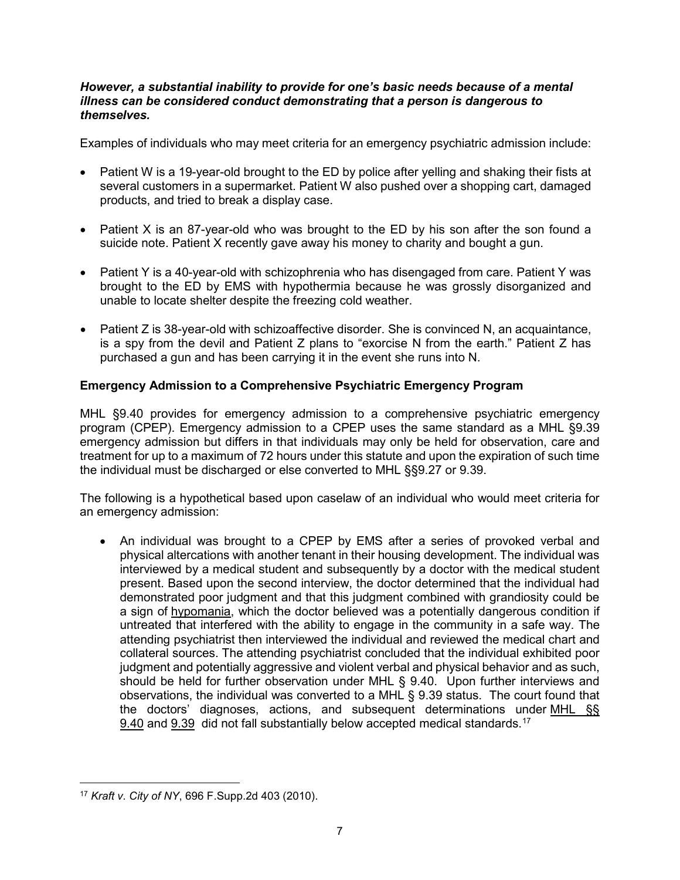#### *However, a substantial inability to provide for one's basic needs because of a mental illness can be considered conduct demonstrating that a person is dangerous to themselves.*

Examples of individuals who may meet criteria for an emergency psychiatric admission include:

- Patient W is a 19-year-old brought to the ED by police after yelling and shaking their fists at several customers in a supermarket. Patient W also pushed over a shopping cart, damaged products, and tried to break a display case.
- Patient X is an 87-year-old who was brought to the ED by his son after the son found a suicide note. Patient X recently gave away his money to charity and bought a gun.
- Patient Y is a 40-year-old with schizophrenia who has disengaged from care. Patient Y was brought to the ED by EMS with hypothermia because he was grossly disorganized and unable to locate shelter despite the freezing cold weather.
- Patient Z is 38-year-old with schizoaffective disorder. She is convinced N, an acquaintance, is a spy from the devil and Patient Z plans to "exorcise N from the earth." Patient Z has purchased a gun and has been carrying it in the event she runs into N.

# **Emergency Admission to a Comprehensive Psychiatric Emergency Program**

MHL §9.40 provides for emergency admission to a comprehensive psychiatric emergency program (CPEP). Emergency admission to a CPEP uses the same standard as a MHL §9.39 emergency admission but differs in that individuals may only be held for observation, care and treatment for up to a maximum of 72 hours under this statute and upon the expiration of such time the individual must be discharged or else converted to MHL §§9.27 or 9.39.

The following is a hypothetical based upon caselaw of an individual who would meet criteria for an emergency admission:

• An individual was brought to a CPEP by EMS after a series of provoked verbal and physical altercations with another tenant in their housing development. The individual was interviewed by a medical student and subsequently by a doctor with the medical student present. Based upon the second interview, the doctor determined that the individual had demonstrated poor judgment and that this judgment combined with grandiosity could be a sign of [hypomania,](https://1.next.westlaw.com/Link/Document/FullText?entityType=disease&entityId=Ic0f702e8475411db9765f9243f53508a&originationContext=document&transitionType=DocumentItem&contextData=(sc.Default)&ppcid=1165b5f84b82430d987b78b7999d2435) which the doctor believed was a potentially dangerous condition if untreated that interfered with the ability to engage in the community in a safe way. The attending psychiatrist then interviewed the individual and reviewed the medical chart and collateral sources. The attending psychiatrist concluded that the individual exhibited poor judgment and potentially aggressive and violent verbal and physical behavior and as such, should be held for further observation under MHL § 9.40. Upon further interviews and observations, the individual was converted to a MHL § 9.39 status. The court found that the doctors' diagnoses, actions, and subsequent determinations under [MHL](https://1.next.westlaw.com/Link/Document/FullText?findType=L&pubNum=1000105&cite=NYMHS9.40&originatingDoc=I0c92db5035e811df9988d233d23fe599&refType=LQ&originationContext=document&transitionType=DocumentItem&ppcid=1165b5f84b82430d987b78b7999d2435&contextData=(sc.RelatedInfo)) §§ [9.40](https://1.next.westlaw.com/Link/Document/FullText?findType=L&pubNum=1000105&cite=NYMHS9.40&originatingDoc=I0c92db5035e811df9988d233d23fe599&refType=LQ&originationContext=document&transitionType=DocumentItem&ppcid=1165b5f84b82430d987b78b7999d2435&contextData=(sc.RelatedInfo)) and [9.39](https://1.next.westlaw.com/Link/Document/FullText?findType=L&pubNum=1000105&cite=NYMHS9.39&originatingDoc=I0c92db5035e811df9988d233d23fe599&refType=LQ&originationContext=document&transitionType=DocumentItem&ppcid=1165b5f84b82430d987b78b7999d2435&contextData=(sc.RelatedInfo)) did not fall substantially below accepted medical standards.<sup>[17](#page-6-0)</sup>

<span id="page-6-0"></span> $\overline{a}$ <sup>17</sup> *Kraft v. City of NY*, 696 F.Supp.2d 403 (2010).